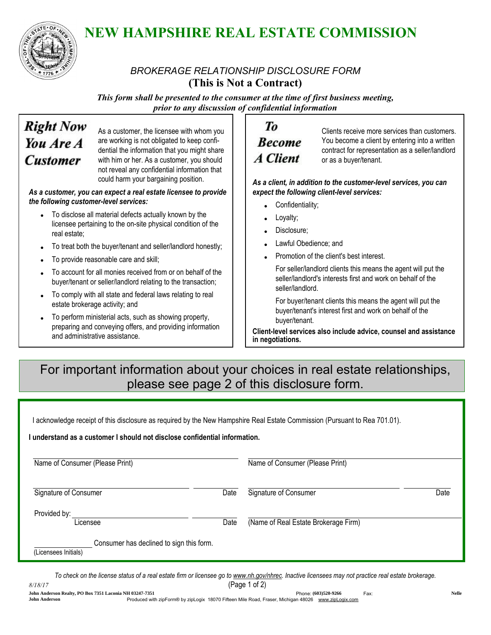

# NEW HAMPSHIRE REAL ESTATE COMMISSION

### *BROKERAGE RELATIONSHIP DISCLOSURE FORM* (This is Not a Contract)

*This form shall be presented to the consumer at the time of first business meeting, prior to any discussion of confidential information*

## **Right Now** You Are A **Customer**

As a customer, the licensee with whom you are working is not obligated to keep confidential the information that you might share with him or her. As a customer, you should not reveal any confidential information that could harm your bargaining position.

*As a customer, you can expect a real estate licensee to provide the following customer-level services:*

- To disclose all material defects actually known by the licensee pertaining to the on-site physical condition of the real estate;
- To treat both the buyer/tenant and seller/landlord honestly;
- To provide reasonable care and skill;
- To account for all monies received from or on behalf of the buyer/tenant or seller/landlord relating to the transaction;
- To comply with all state and federal laws relating to real estate brokerage activity; and
- To perform ministerial acts, such as showing property, preparing and conveying offers, and providing information and administrative assistance.

### Tо **Become A** Client

Clients receive more services than customers. You become a client by entering into a written contract for representation as a seller/landlord or as a buyer/tenant.

*As a client, in addition to the customer-level services, you can expect the following client-level services:*

- Confidentiality;
- Loyalty;
- Disclosure:
- Lawful Obedience; and
- Promotion of the client's best interest.

For seller/landlord clients this means the agent will put the seller/landlord's interests first and work on behalf of the seller/landlord.

For buyer/tenant clients this means the agent will put the buyer/tenant's interest first and work on behalf of the buyer/tenant.

Client-level services also include advice, counsel and assistance in negotiations.

## For important information about your choices in real estate relationships, please see page 2 of this disclosure form.

I acknowledge receipt of this disclosure as required by the New Hampshire Real Estate Commission (Pursuant to Rea 701.01).

#### I understand as a customer I should not disclose confidential information.

| Name of Consumer (Please Print)                                  |      | Name of Consumer (Please Print)      |      |
|------------------------------------------------------------------|------|--------------------------------------|------|
| Signature of Consumer                                            | Date | Signature of Consumer                | Date |
| Provided by:<br>Licensee                                         | Date | (Name of Real Estate Brokerage Firm) |      |
| Consumer has declined to sign this form.<br>(Licensees Initials) |      |                                      |      |

*To check on the license status of a real estate firm or licensee go to www.nh.gov/nhrec. Inactive licensees may not practice real estate brokerage.*